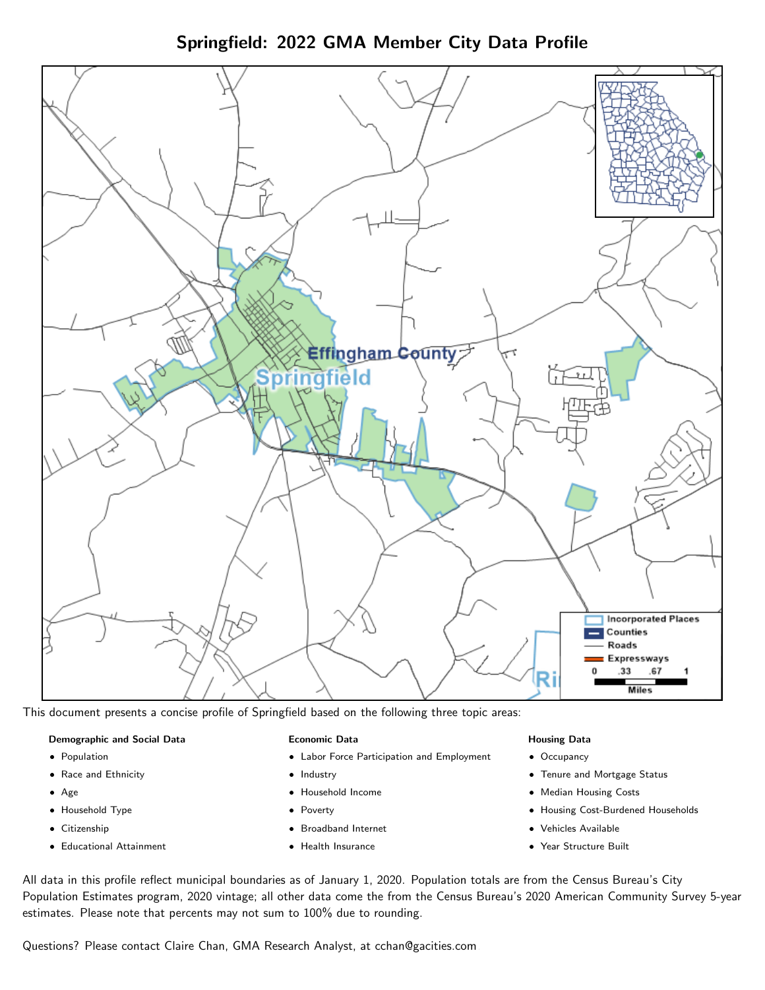Springfield: 2022 GMA Member City Data Profile



This document presents a concise profile of Springfield based on the following three topic areas:

#### Demographic and Social Data

- **•** Population
- Race and Ethnicity
- Age
- Household Type
- **Citizenship**
- Educational Attainment

### Economic Data

- Labor Force Participation and Employment
- Industry
- Household Income
- Poverty
- Broadband Internet
- Health Insurance

#### Housing Data

- Occupancy
- Tenure and Mortgage Status
- Median Housing Costs
- Housing Cost-Burdened Households
- Vehicles Available
- $\bullet$ Year Structure Built

All data in this profile reflect municipal boundaries as of January 1, 2020. Population totals are from the Census Bureau's City Population Estimates program, 2020 vintage; all other data come the from the Census Bureau's 2020 American Community Survey 5-year estimates. Please note that percents may not sum to 100% due to rounding.

Questions? Please contact Claire Chan, GMA Research Analyst, at [cchan@gacities.com.](mailto:cchan@gacities.com)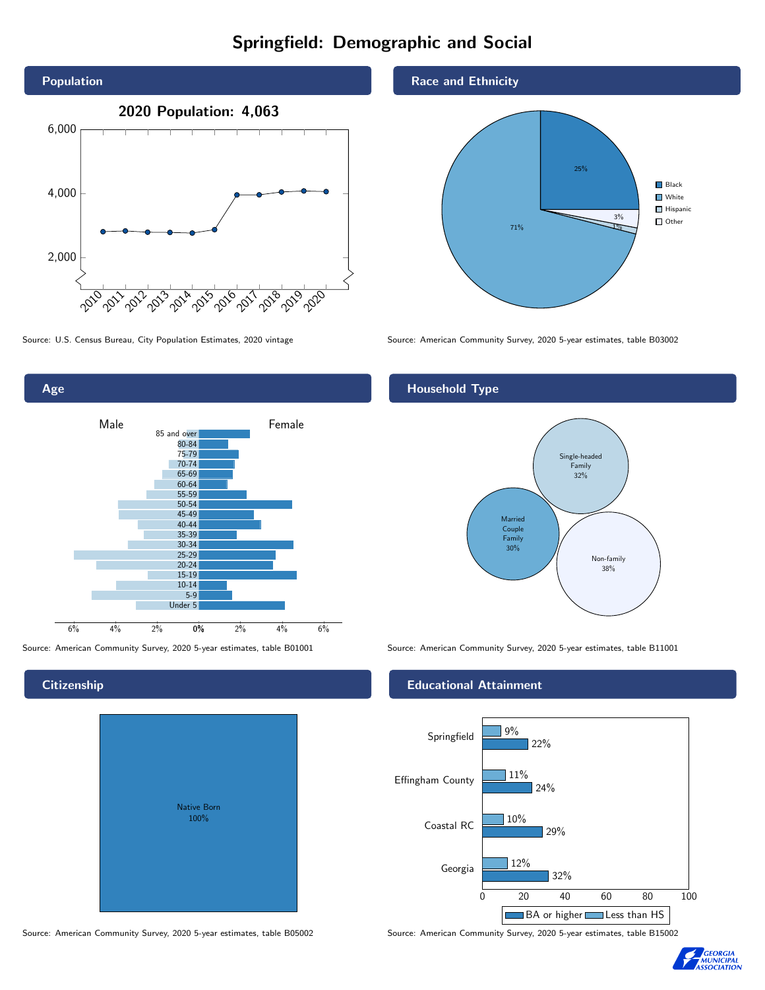# Springfield: Demographic and Social





**Citizenship** 

| <b>Native Born</b><br>100% |  |
|----------------------------|--|

Race and Ethnicity



Source: U.S. Census Bureau, City Population Estimates, 2020 vintage Source: American Community Survey, 2020 5-year estimates, table B03002

# Household Type



Source: American Community Survey, 2020 5-year estimates, table B01001 Source: American Community Survey, 2020 5-year estimates, table B11001

### Educational Attainment



Source: American Community Survey, 2020 5-year estimates, table B05002 Source: American Community Survey, 2020 5-year estimates, table B15002

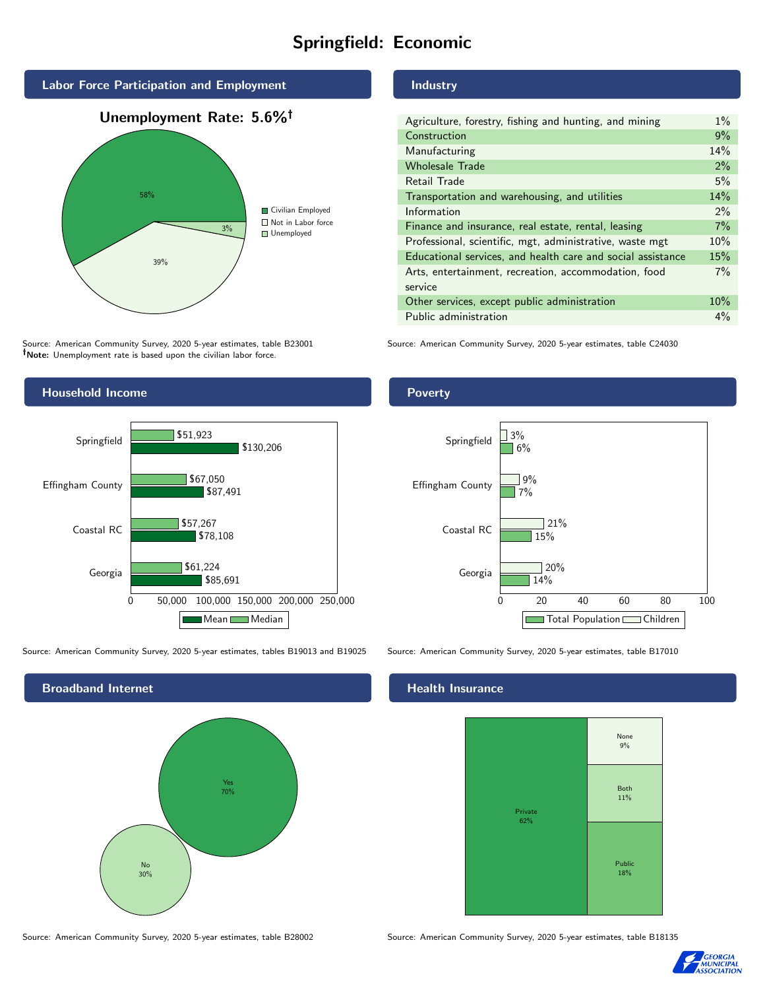# Springfield: Economic



Source: American Community Survey, 2020 5-year estimates, table B23001 Note: Unemployment rate is based upon the civilian labor force.



Source: American Community Survey, 2020 5-year estimates, tables B19013 and B19025 Source: American Community Survey, 2020 5-year estimates, table B17010



## Industry

| Agriculture, forestry, fishing and hunting, and mining      | $1\%$ |
|-------------------------------------------------------------|-------|
| Construction                                                |       |
| Manufacturing                                               | 14%   |
| <b>Wholesale Trade</b>                                      | 2%    |
| Retail Trade                                                | 5%    |
| Transportation and warehousing, and utilities               |       |
| Information                                                 |       |
| Finance and insurance, real estate, rental, leasing         |       |
| Professional, scientific, mgt, administrative, waste mgt    |       |
| Educational services, and health care and social assistance |       |
| Arts, entertainment, recreation, accommodation, food        |       |
| service                                                     |       |
| Other services, except public administration                |       |
| Public administration                                       |       |

Source: American Community Survey, 2020 5-year estimates, table C24030

# Poverty



#### Health Insurance



Source: American Community Survey, 2020 5-year estimates, table B28002 Source: American Community Survey, 2020 5-year estimates, table B18135